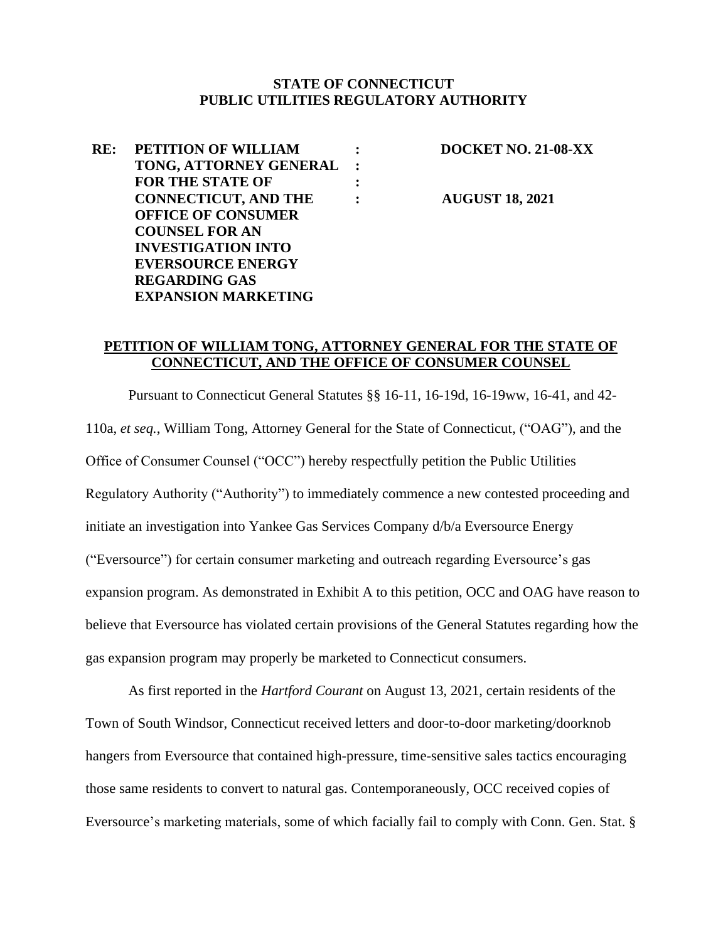#### **STATE OF CONNECTICUT PUBLIC UTILITIES REGULATORY AUTHORITY**

| RE: | PETITION OF WILLIAM         |         |
|-----|-----------------------------|---------|
|     | TONG, ATTORNEY GENERAL      | $\cdot$ |
|     | <b>FOR THE STATE OF</b>     |         |
|     | <b>CONNECTICUT, AND THE</b> |         |
|     | <b>OFFICE OF CONSUMER</b>   |         |
|     | <b>COUNSEL FOR AN</b>       |         |
|     | <b>INVESTIGATION INTO</b>   |         |
|     | <b>EVERSOURCE ENERGY</b>    |         |
|     | <b>REGARDING GAS</b>        |         |
|     | <b>EXPANSION MARKETING</b>  |         |
|     |                             |         |

**: DOCKET NO. 21-08-XX**

**: AUGUST 18, 2021**

#### **PETITION OF WILLIAM TONG, ATTORNEY GENERAL FOR THE STATE OF CONNECTICUT, AND THE OFFICE OF CONSUMER COUNSEL**

Pursuant to Connecticut General Statutes §§ 16-11, 16-19d, 16-19ww, 16-41, and 42- 110a, *et seq.*, William Tong, Attorney General for the State of Connecticut, ("OAG"), and the Office of Consumer Counsel ("OCC") hereby respectfully petition the Public Utilities Regulatory Authority ("Authority") to immediately commence a new contested proceeding and initiate an investigation into Yankee Gas Services Company d/b/a Eversource Energy ("Eversource") for certain consumer marketing and outreach regarding Eversource's gas expansion program. As demonstrated in Exhibit A to this petition, OCC and OAG have reason to believe that Eversource has violated certain provisions of the General Statutes regarding how the gas expansion program may properly be marketed to Connecticut consumers.

As first reported in the *Hartford Courant* on August 13, 2021, certain residents of the Town of South Windsor, Connecticut received letters and door-to-door marketing/doorknob hangers from Eversource that contained high-pressure, time-sensitive sales tactics encouraging those same residents to convert to natural gas. Contemporaneously, OCC received copies of Eversource's marketing materials, some of which facially fail to comply with Conn. Gen. Stat. §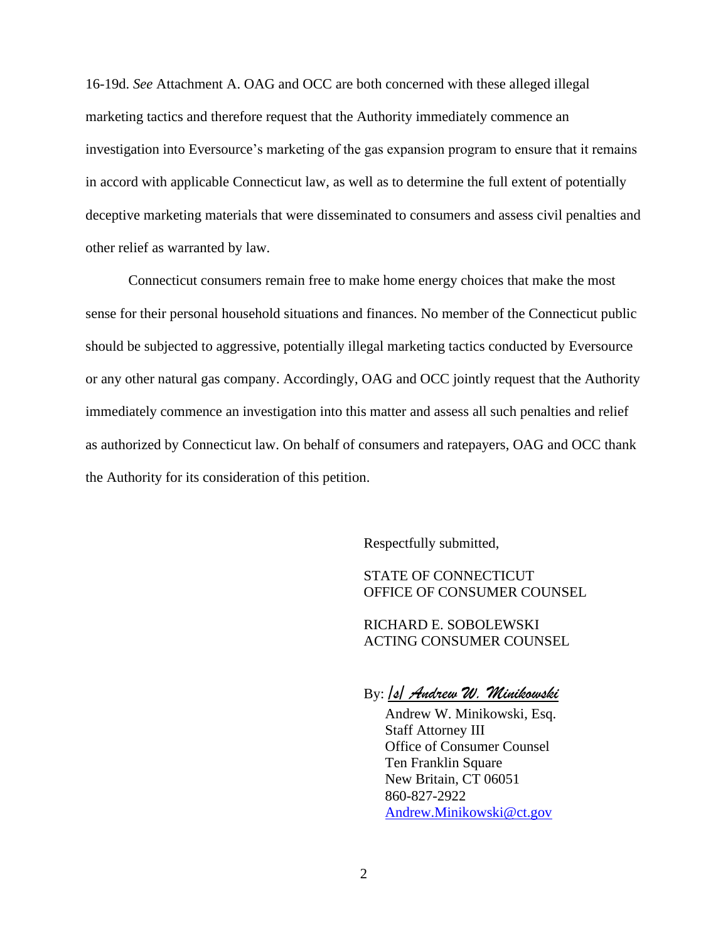16-19d. *See* Attachment A. OAG and OCC are both concerned with these alleged illegal marketing tactics and therefore request that the Authority immediately commence an investigation into Eversource's marketing of the gas expansion program to ensure that it remains in accord with applicable Connecticut law, as well as to determine the full extent of potentially deceptive marketing materials that were disseminated to consumers and assess civil penalties and other relief as warranted by law.

Connecticut consumers remain free to make home energy choices that make the most sense for their personal household situations and finances. No member of the Connecticut public should be subjected to aggressive, potentially illegal marketing tactics conducted by Eversource or any other natural gas company. Accordingly, OAG and OCC jointly request that the Authority immediately commence an investigation into this matter and assess all such penalties and relief as authorized by Connecticut law. On behalf of consumers and ratepayers, OAG and OCC thank the Authority for its consideration of this petition.

Respectfully submitted,

STATE OF CONNECTICUT OFFICE OF CONSUMER COUNSEL

RICHARD E. SOBOLEWSKI ACTING CONSUMER COUNSEL

By: */s/ Andrew W. Minikowski* 

Andrew W. Minikowski, Esq. Staff Attorney III Office of Consumer Counsel Ten Franklin Square New Britain, CT 06051 860-827-2922 [Andrew.Minikowski@ct.gov](mailto:Andrew.Minikowski@ct.gov)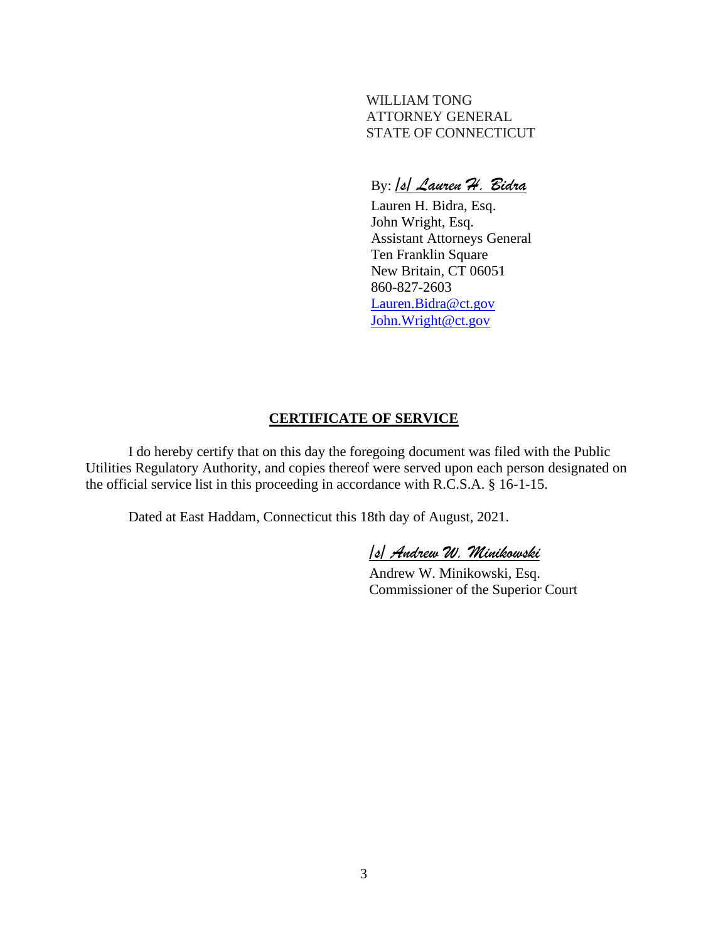WILLIAM TONG ATTORNEY GENERAL STATE OF CONNECTICUT

#### By: */s/ Lauren H. Bidra*

 Lauren H. Bidra, Esq. John Wright, Esq. Assistant Attorneys General Ten Franklin Square New Britain, CT 06051 860-827-2603 [Lauren.Bidra@ct.gov](mailto:Lauren.Bidra@ct.gov) [John.Wright@ct.gov](mailto:John.Wright@ct.gov)

#### **CERTIFICATE OF SERVICE**

I do hereby certify that on this day the foregoing document was filed with the Public Utilities Regulatory Authority, and copies thereof were served upon each person designated on the official service list in this proceeding in accordance with R.C.S.A. § 16-1-15.

Dated at East Haddam, Connecticut this 18th day of August, 2021.

*/s/ Andrew W. Minikowski*

Andrew W. Minikowski, Esq. Commissioner of the Superior Court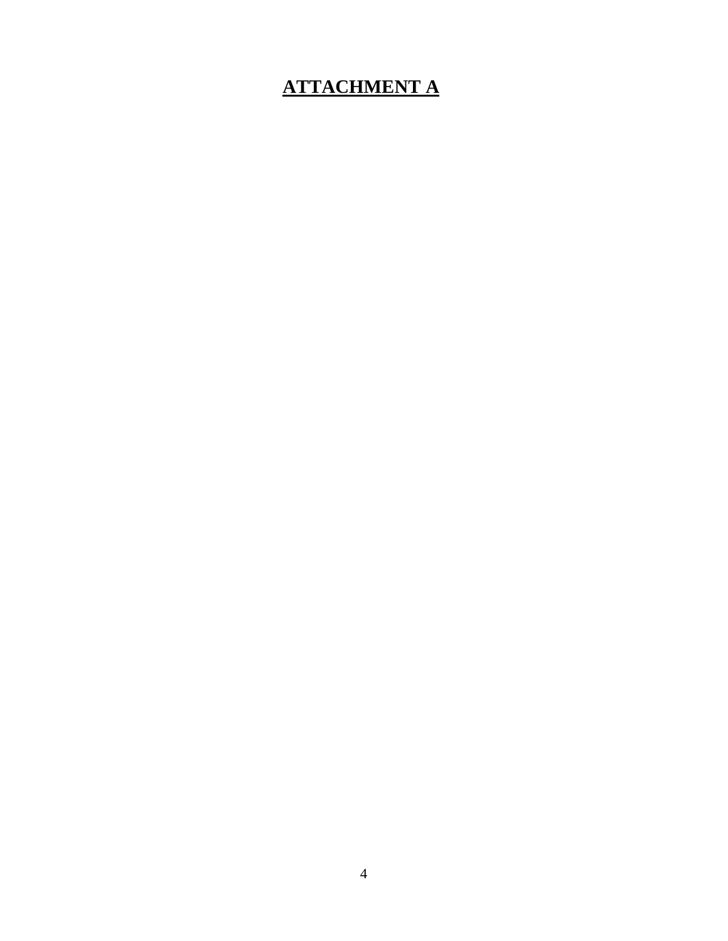## **ATTACHMENT A**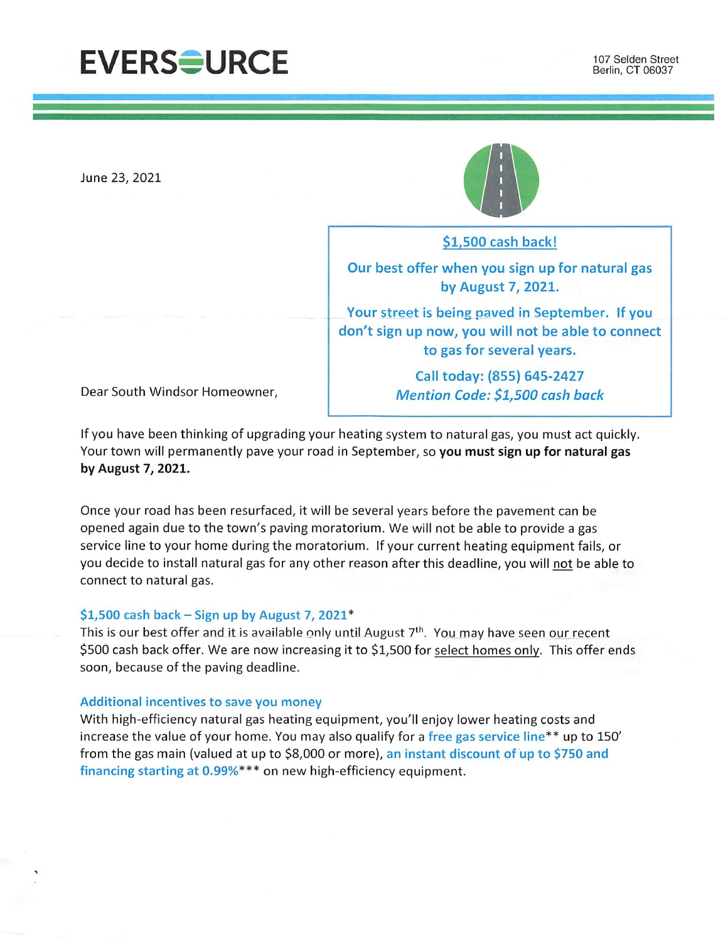## **EVERSOURCE**

June 23, 2021



\$1,500 cash back!

Our best offer when you sign up for natural gas by August 7, 2021.

Your street is being paved in September. If you don't sign up now, you will not be able to connect to gas for several years.

> Call today: (855) 645-2427 **Mention Code: \$1,500 cash back**

Dear South Windsor Homeowner,

If you have been thinking of upgrading your heating system to natural gas, you must act quickly. Your town will permanently pave your road in September, so you must sign up for natural gas by August 7, 2021.

Once your road has been resurfaced, it will be several years before the pavement can be opened again due to the town's paving moratorium. We will not be able to provide a gas service line to your home during the moratorium. If your current heating equipment fails, or you decide to install natural gas for any other reason after this deadline, you will not be able to connect to natural gas.

#### \$1,500 cash back – Sign up by August 7, 2021\*

This is our best offer and it is available only until August 7<sup>th</sup>. You may have seen our recent \$500 cash back offer. We are now increasing it to \$1,500 for select homes only. This offer ends soon, because of the paving deadline.

#### Additional incentives to save you money

With high-efficiency natural gas heating equipment, you'll enjoy lower heating costs and increase the value of your home. You may also qualify for a free gas service line\*\* up to 150' from the gas main (valued at up to \$8,000 or more), an instant discount of up to \$750 and financing starting at 0.99%\*\*\* on new high-efficiency equipment.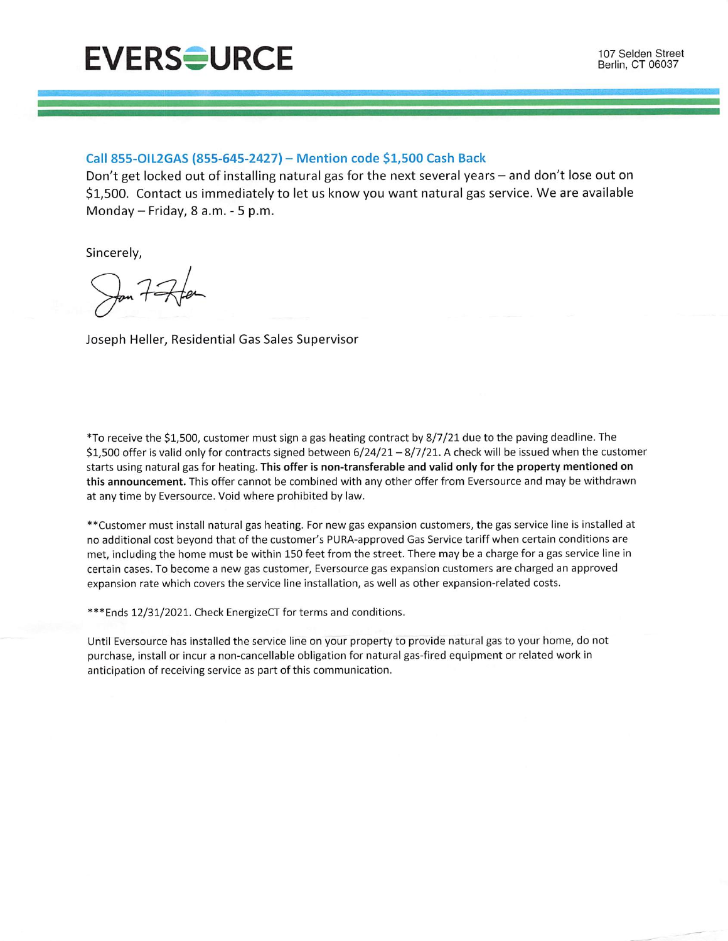

#### Call 855-OIL2GAS (855-645-2427) - Mention code \$1,500 Cash Back

Don't get locked out of installing natural gas for the next several years – and don't lose out on \$1,500. Contact us immediately to let us know you want natural gas service. We are available Monday - Friday, 8 a.m. - 5 p.m.

Sincerely,

Joseph Heller, Residential Gas Sales Supervisor

\*To receive the \$1,500, customer must sign a gas heating contract by 8/7/21 due to the paving deadline. The \$1,500 offer is valid only for contracts signed between  $6/24/21 - 8/7/21$ . A check will be issued when the customer starts using natural gas for heating. This offer is non-transferable and valid only for the property mentioned on this announcement. This offer cannot be combined with any other offer from Eversource and may be withdrawn at any time by Eversource. Void where prohibited by law.

\*\*Customer must install natural gas heating. For new gas expansion customers, the gas service line is installed at no additional cost beyond that of the customer's PURA-approved Gas Service tariff when certain conditions are met, including the home must be within 150 feet from the street. There may be a charge for a gas service line in certain cases. To become a new gas customer, Eversource gas expansion customers are charged an approved expansion rate which covers the service line installation, as well as other expansion-related costs.

\*\*\* Ends 12/31/2021. Check EnergizeCT for terms and conditions.

Until Eversource has installed the service line on your property to provide natural gas to your home, do not purchase, install or incur a non-cancellable obligation for natural gas-fired equipment or related work in anticipation of receiving service as part of this communication.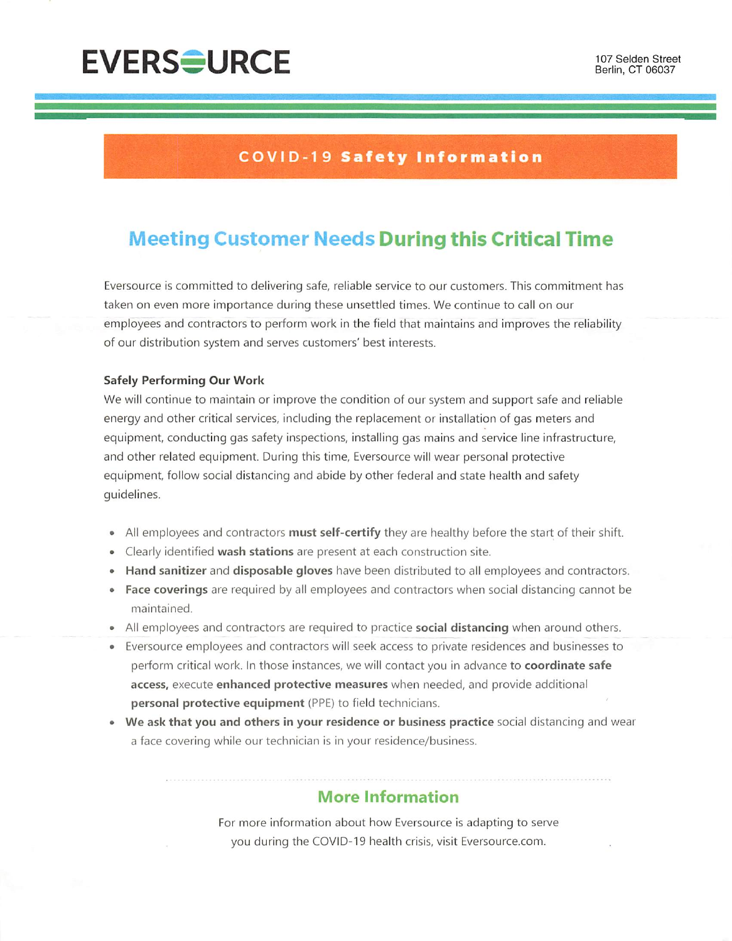# **EVERS<del>O</del>URCE**

### **COVID-19 Safety Information**

### **Meeting Customer Needs During this Critical Time**

Eversource is committed to delivering safe, reliable service to our customers. This commitment has taken on even more importance during these unsettled times. We continue to call on our employees and contractors to perform work in the field that maintains and improves the reliability of our distribution system and serves customers' best interests.

#### **Safely Performing Our Work**

We will continue to maintain or improve the condition of our system and support safe and reliable energy and other critical services, including the replacement or installation of gas meters and equipment, conducting gas safety inspections, installing gas mains and service line infrastructure, and other related equipment. During this time, Eversource will wear personal protective equipment, follow social distancing and abide by other federal and state health and safety quidelines.

- All employees and contractors must self-certify they are healthy before the start of their shift.
- Clearly identified wash stations are present at each construction site.
- Hand sanitizer and disposable gloves have been distributed to all employees and contractors.
- Face coverings are required by all employees and contractors when social distancing cannot be maintained.
- All employees and contractors are required to practice **social distancing** when around others.
- Eversource employees and contractors will seek access to private residences and businesses to perform critical work. In those instances, we will contact you in advance to coordinate safe access, execute enhanced protective measures when needed, and provide additional personal protective equipment (PPE) to field technicians.
- We ask that you and others in your residence or business practice social distancing and wear a face covering while our technician is in your residence/business.

#### **More Information**

For more information about how Eversource is adapting to serve you during the COVID-19 health crisis, visit Eversource.com.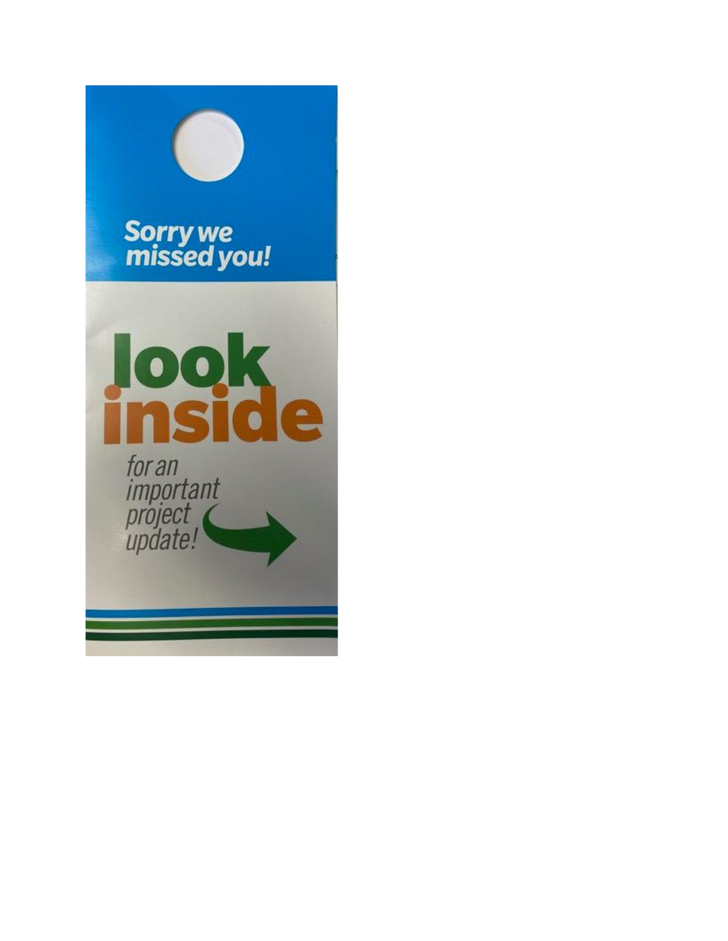